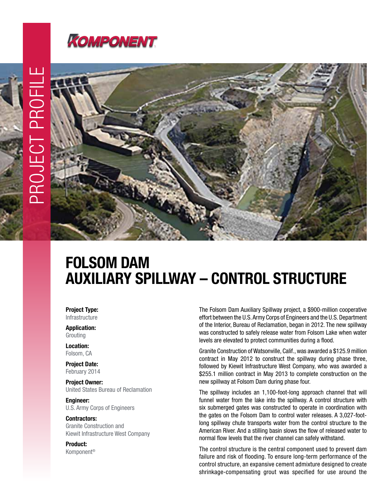

## FOLSOM DAM AUXILIARY SPILLWAY – CONTROL STRUCTURE

Project Type: Infrastructure

Application:

Grouting Location: Folsom, CA

Project Date: February 2014

Project Owner: United States Bureau of Reclamation

Engineer: U.S. Army Corps of Engineers

Contractors: Granite Construction and Kiewit Infrastructure West Company

Product: Komponent® The Folsom Dam Auxiliary Spillway project, a \$900-million cooperative effort between the U.S. Army Corps of Engineers and the U.S. Department of the Interior, Bureau of Reclamation, began in 2012. The new spillway was constructed to safely release water from Folsom Lake when water levels are elevated to protect communities during a flood.

Granite Construction of Watsonville, Calif., was awarded a \$125.9 million contract in May 2012 to construct the spillway during phase three, followed by Kiewit Infrastructure West Company, who was awarded a \$255.1 million contract in May 2013 to complete construction on the new spillway at Folsom Dam during phase four.

The spillway includes an 1,100-foot-long approach channel that will funnel water from the lake into the spillway. A control structure with six submerged gates was constructed to operate in coordination with the gates on the Folsom Dam to control water releases. A 3,027-footlong spillway chute transports water from the control structure to the American River. And a stilling basin slows the flow of released water to normal flow levels that the river channel can safely withstand.

The control structure is the central component used to prevent dam failure and risk of flooding. To ensure long-term performance of the control structure, an expansive cement admixture designed to create shrinkage-compensating grout was specified for use around the